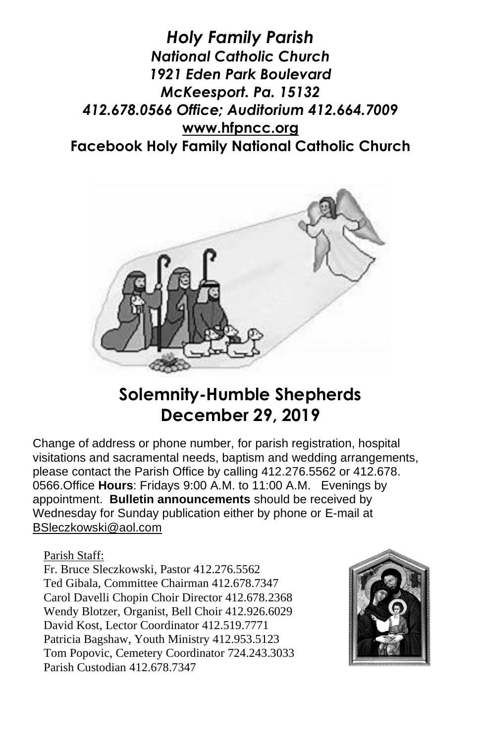*Holy Family Parish National Catholic Church 1921 Eden Park Boulevard McKeesport. Pa. 15132 412.678.0566 Office; Auditorium 412.664.7009* **[www.hfpncc.org](http://www.hfpncc.org/) Facebook Holy Family National Catholic Church**



# **Solemnity-Humble Shepherds December 29, 2019**

Change of address or phone number, for parish registration, hospital visitations and sacramental needs, baptism and wedding arrangements, please contact the Parish Office by calling 412.276.5562 or 412.678. 0566.Office **Hours**: Fridays 9:00 A.M. to 11:00 A.M. Evenings by appointment. **Bulletin announcements** should be received by Wednesday for Sunday publication either by phone or E-mail at [BSleczkowski@aol.com](mailto:BSleczkowski@aol.com)

Parish Staff:

Fr. Bruce Sleczkowski, Pastor 412.276.5562 Ted Gibala, Committee Chairman 412.678.7347 Carol Davelli Chopin Choir Director 412.678.2368 Wendy Blotzer, Organist, Bell Choir 412.926.6029 David Kost, Lector Coordinator 412.519.7771 Patricia Bagshaw, Youth Ministry 412.953.5123 Tom Popovic, Cemetery Coordinator 724.243.3033 Parish Custodian 412.678.7347

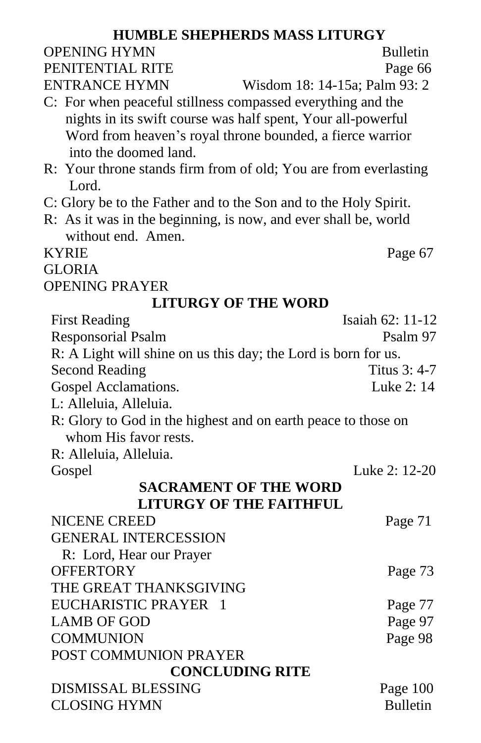#### **HUMBLE SHEPHERDS MASS LITURGY** OPENING HYMN Bulletin PENITENTIAL RITE Page 66 ENTRANCE HYMN Wisdom 18: 14-15a; Palm 93: 2 C: For when peaceful stillness compassed everything and the nights in its swift course was half spent, Your all-powerful Word from heaven's royal throne bounded, a fierce warrior into the doomed land. R: Your throne stands firm from of old; You are from everlasting Lord. C: Glory be to the Father and to the Son and to the Holy Spirit. R: As it was in the beginning, is now, and ever shall be, world without end. Amen. KYRIE Page 67 GLORIA OPENING PRAYER **LITURGY OF THE WORD** First Reading Isaiah 62: 11-12 Responsorial Psalm Psalm Psalm 97 R: A Light will shine on us this day; the Lord is born for us. Second Reading Titus 3: 4-7 Gospel Acclamations. Luke 2: 14 L: Alleluia, Alleluia. R: Glory to God in the highest and on earth peace to those on whom His favor rests. R: Alleluia, Alleluia. Gospel Luke 2: 12-20 **SACRAMENT OF THE WORD LITURGY OF THE FAITHFUL** NICENE CREED Page 71 GENERAL INTERCESSION R: Lord, Hear our Prayer OFFERTORY Page 73 THE GREAT THANKSGIVING EUCHARISTIC PRAYER 1 Page 77 LAMB OF GOD Page 97 COMMUNION Page 98 POST COMMUNION PRAYER **CONCLUDING RITE** DISMISSAL BLESSING Page 100 CLOSING HYMN Bulletin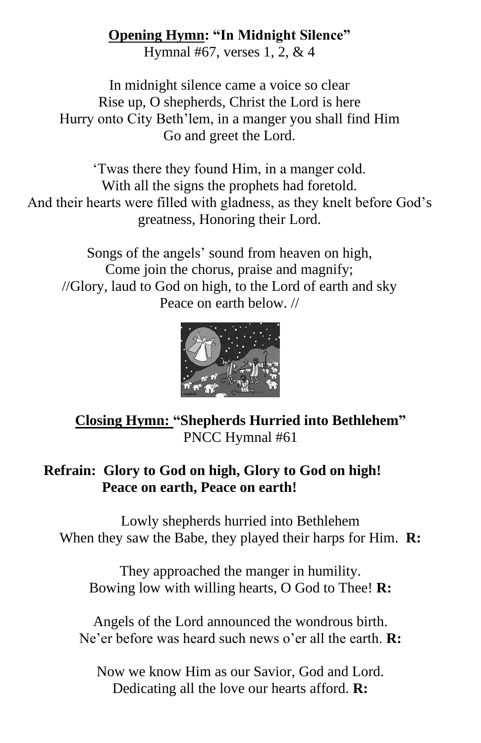#### **Opening Hymn: "In Midnight Silence"**

Hymnal #67, verses 1, 2, & 4

In midnight silence came a voice so clear Rise up, O shepherds, Christ the Lord is here Hurry onto City Beth'lem, in a manger you shall find Him Go and greet the Lord.

'Twas there they found Him, in a manger cold. With all the signs the prophets had foretold. And their hearts were filled with gladness, as they knelt before God's greatness, Honoring their Lord.

Songs of the angels' sound from heaven on high, Come join the chorus, praise and magnify; //Glory, laud to God on high, to the Lord of earth and sky Peace on earth below. //



## **Closing Hymn: "Shepherds Hurried into Bethlehem"** PNCC Hymnal #61

### **Refrain: Glory to God on high, Glory to God on high! Peace on earth, Peace on earth!**

Lowly shepherds hurried into Bethlehem When they saw the Babe, they played their harps for Him. **R:**

They approached the manger in humility. Bowing low with willing hearts, O God to Thee! **R:**

Angels of the Lord announced the wondrous birth. Ne'er before was heard such news o'er all the earth. **R:**

Now we know Him as our Savior, God and Lord. Dedicating all the love our hearts afford. **R:**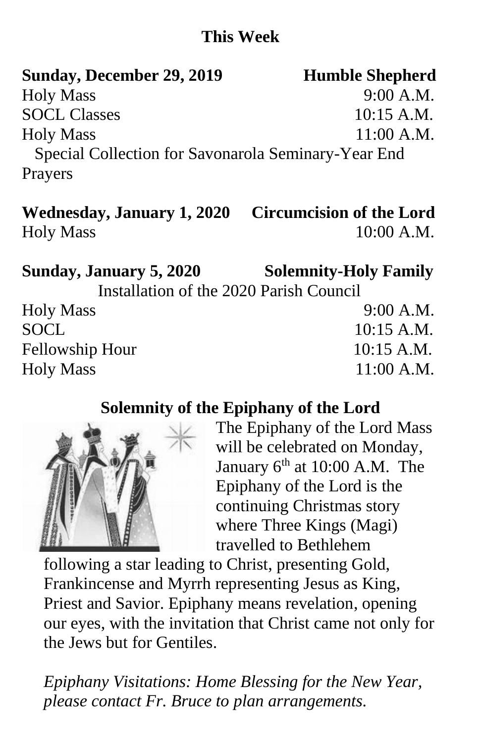## **This Week**

| Sunday, December 29, 2019                           | <b>Humble Shepherd</b> |  |
|-----------------------------------------------------|------------------------|--|
| <b>Holy Mass</b>                                    | 9:00 A.M.              |  |
| <b>SOCL Classes</b>                                 | $10:15$ A.M.           |  |
| <b>Holy Mass</b>                                    | $11:00$ A.M.           |  |
| Special Collection for Savonarola Seminary-Year End |                        |  |
| Prayers                                             |                        |  |

# **Wednesday, January 1, 2020 Circumcision of the Lord** Holy Mass 10:00 A.M.

**Sunday, January 5, 2020 Solemnity-Holy Family**

Installation of the 2020 Parish Council

| <b>Holy Mass</b> | 9:00 A.M.    |
|------------------|--------------|
| SOCL             | $10:15$ A.M. |
| Fellowship Hour  | $10:15$ A.M. |
| <b>Holy Mass</b> | $11:00$ A.M. |

## **Solemnity of the Epiphany of the Lord**



The Epiphany of the Lord Mass will be celebrated on Monday, January  $6<sup>th</sup>$  at 10:00 A.M. The Epiphany of the Lord is the continuing Christmas story where Three Kings (Magi) travelled to Bethlehem

following a star leading to Christ, presenting Gold, Frankincense and Myrrh representing Jesus as King, Priest and Savior. Epiphany means revelation, opening our eyes, with the invitation that Christ came not only for the Jews but for Gentiles.

*Epiphany Visitations: Home Blessing for the New Year, please contact Fr. Bruce to plan arrangements.*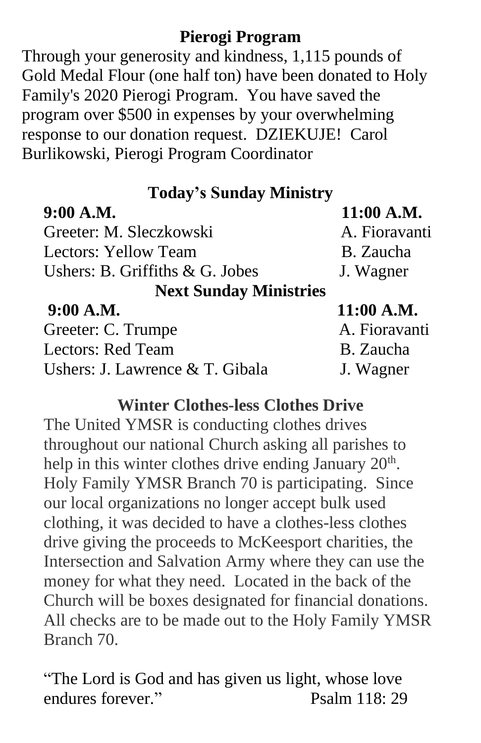## **Pierogi Program**

Through your generosity and kindness, 1,115 pounds of Gold Medal Flour (one half ton) have been donated to Holy Family's 2020 Pierogi Program. You have saved the program over \$500 in expenses by your overwhelming response to our donation request. DZIEKUJE! Carol Burlikowski, Pierogi Program Coordinator

| <b>Today's Sunday Ministry</b>     |               |  |
|------------------------------------|---------------|--|
| 9:00 A.M.                          | 11:00 A.M.    |  |
| Greeter: M. Sleczkowski            | A. Fioravanti |  |
| Lectors: Yellow Team               | B. Zaucha     |  |
| Ushers: B. Griffiths $\&$ G. Jobes | J. Wagner     |  |
| <b>Next Sunday Ministries</b>      |               |  |
| 9:00 A.M.                          | 11:00 A.M.    |  |
| Greeter: C. Trumpe                 | A. Fioravanti |  |
| <b>Lectors: Red Team</b>           | B. Zaucha     |  |
| Ushers: J. Lawrence & T. Gibala    | J. Wagner     |  |

### **Winter Clothes-less Clothes Drive**

The United YMSR is conducting clothes drives throughout our national Church asking all parishes to help in this winter clothes drive ending January  $20<sup>th</sup>$ . Holy Family YMSR Branch 70 is participating. Since our local organizations no longer accept bulk used clothing, it was decided to have a clothes-less clothes drive giving the proceeds to McKeesport charities, the Intersection and Salvation Army where they can use the money for what they need. Located in the back of the Church will be boxes designated for financial donations. All checks are to be made out to the Holy Family YMSR Branch 70.

"The Lord is God and has given us light, whose love endures forever." Psalm 118: 29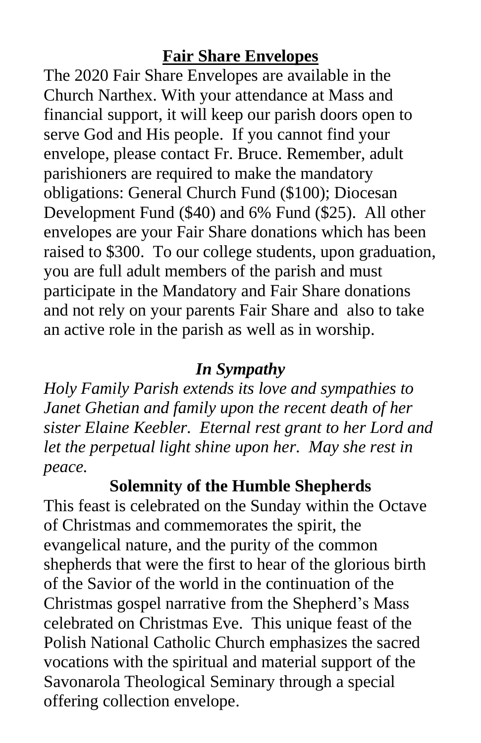## **Fair Share Envelopes**

The 2020 Fair Share Envelopes are available in the Church Narthex. With your attendance at Mass and financial support, it will keep our parish doors open to serve God and His people. If you cannot find your envelope, please contact Fr. Bruce. Remember, adult parishioners are required to make the mandatory obligations: General Church Fund (\$100); Diocesan Development Fund (\$40) and 6% Fund (\$25). All other envelopes are your Fair Share donations which has been raised to \$300. To our college students, upon graduation, you are full adult members of the parish and must participate in the Mandatory and Fair Share donations and not rely on your parents Fair Share and also to take an active role in the parish as well as in worship.

## *In Sympathy*

*Holy Family Parish extends its love and sympathies to Janet Ghetian and family upon the recent death of her sister Elaine Keebler. Eternal rest grant to her Lord and let the perpetual light shine upon her. May she rest in peace.*

**Solemnity of the Humble Shepherds**

This feast is celebrated on the Sunday within the Octave of Christmas and commemorates the spirit, the evangelical nature, and the purity of the common shepherds that were the first to hear of the glorious birth of the Savior of the world in the continuation of the Christmas gospel narrative from the Shepherd's Mass celebrated on Christmas Eve. This unique feast of the Polish National Catholic Church emphasizes the sacred vocations with the spiritual and material support of the Savonarola Theological Seminary through a special offering collection envelope.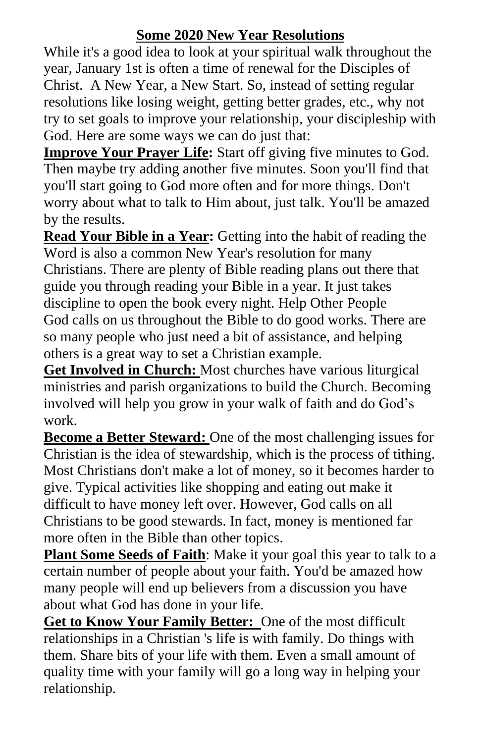#### **Some 2020 New Year Resolutions**

While it's a good idea to look at your spiritual walk throughout the year, January 1st is often a time of renewal for the Disciples of Christ. A New Year, a New Start. So, instead of setting regular resolutions like losing weight, getting better grades, etc., why not try to set goals to improve your relationship, your discipleship with God. Here are some ways we can do just that:

**Improve Your Prayer Life:** Start off giving five minutes to God. Then maybe try adding another five minutes. Soon you'll find that you'll start going to God more often and for more things. Don't worry about what to talk to Him about, just talk. You'll be amazed by the results.

**Read Your Bible in a Year:** Getting into the habit of reading the Word is also a common New Year's resolution for many Christians. There are plenty of [Bible reading plans](http://christianity.about.com/od/biblereadingplans/Bible_Reading_Plans.htm) out there that guide you through reading your Bible in a year. It just takes discipline to open the book every night. Help Other People God calls on us throughout the Bible to do good works. There are so many people who just need a bit of assistance, and helping others is a great way to set a Christian example.

**Get Involved in Church:** Most churches have various liturgical ministries and parish organizations to build the Church. Becoming involved will help you grow in your walk of faith and do God's work.

**Become a Better Steward:** One of the most challenging issues for Christian is the idea of stewardship, which is the process of tithing. Most Christians don't make a lot of money, so it becomes harder to give. Typical activities like shopping and eating out make it difficult to have money left over. However, God calls on all Christians to be good stewards. In fact, money is mentioned far more often in the Bible than other topics.

**Plant Some Seeds of Faith**: Make it your goal this year to talk to a certain number of people about your faith. You'd be amazed how many people will end up believers from a discussion you have about what God has done in your life.

**Get to Know Your Family Better:** One of the most difficult relationships in a Christian 's life is with family. Do things with them. Share bits of your life with them. Even a small amount of quality time with your family will go a long way in helping your relationship.